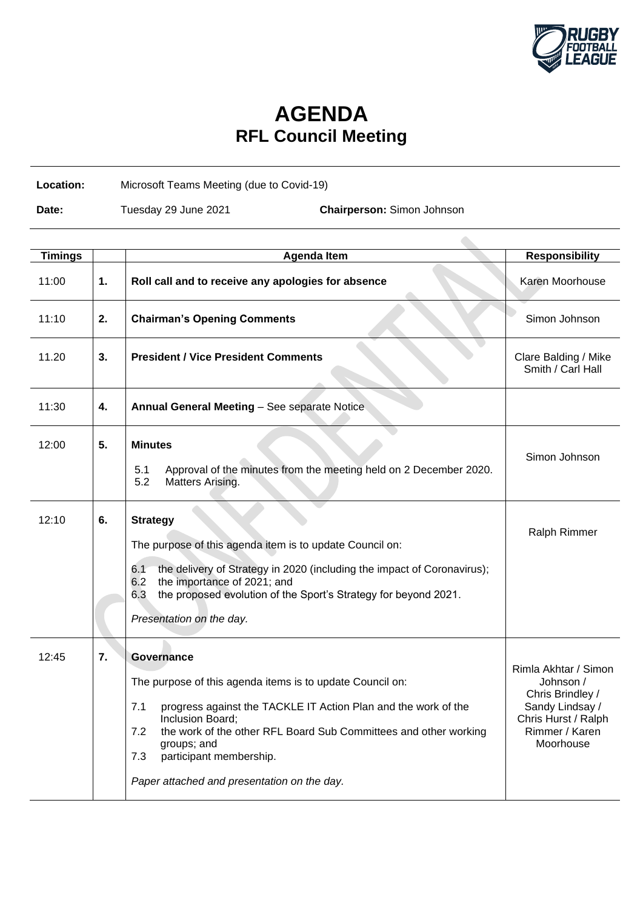

## **AGENDA RFL Council Meeting**

**Location:** Microsoft Teams Meeting (due to Covid-19)

**Date:** Tuesday 29 June 2021 **Chairperson:** Simon Johnson

| <b>Timings</b> |    | <b>Agenda Item</b>                                                                                                                                                                                                                                                                                                                              | <b>Responsibility</b>                                                                                                          |
|----------------|----|-------------------------------------------------------------------------------------------------------------------------------------------------------------------------------------------------------------------------------------------------------------------------------------------------------------------------------------------------|--------------------------------------------------------------------------------------------------------------------------------|
| 11:00          | 1. | Roll call and to receive any apologies for absence                                                                                                                                                                                                                                                                                              | Karen Moorhouse                                                                                                                |
| 11:10          | 2. | <b>Chairman's Opening Comments</b>                                                                                                                                                                                                                                                                                                              | Simon Johnson                                                                                                                  |
| 11.20          | 3. | <b>President / Vice President Comments</b>                                                                                                                                                                                                                                                                                                      | Clare Balding / Mike<br>Smith / Carl Hall                                                                                      |
| 11:30          | 4. | Annual General Meeting - See separate Notice                                                                                                                                                                                                                                                                                                    |                                                                                                                                |
| 12:00          | 5. | <b>Minutes</b><br>Approval of the minutes from the meeting held on 2 December 2020.<br>5.1<br>5.2<br>Matters Arising.                                                                                                                                                                                                                           | Simon Johnson                                                                                                                  |
|                |    |                                                                                                                                                                                                                                                                                                                                                 |                                                                                                                                |
| 12:10          | 6. | <b>Strategy</b><br>The purpose of this agenda item is to update Council on:<br>the delivery of Strategy in 2020 (including the impact of Coronavirus);<br>6.1<br>6.2<br>the importance of 2021; and<br>6.3<br>the proposed evolution of the Sport's Strategy for beyond 2021.<br>Presentation on the day.                                       | <b>Ralph Rimmer</b>                                                                                                            |
| 12:45          | 7. | Governance<br>The purpose of this agenda items is to update Council on:<br>progress against the TACKLE IT Action Plan and the work of the<br>7.1<br>Inclusion Board;<br>the work of the other RFL Board Sub Committees and other working<br>7.2<br>groups; and<br>participant membership.<br>7.3<br>Paper attached and presentation on the day. | Rimla Akhtar / Simon<br>Johnson /<br>Chris Brindley /<br>Sandy Lindsay /<br>Chris Hurst / Ralph<br>Rimmer / Karen<br>Moorhouse |